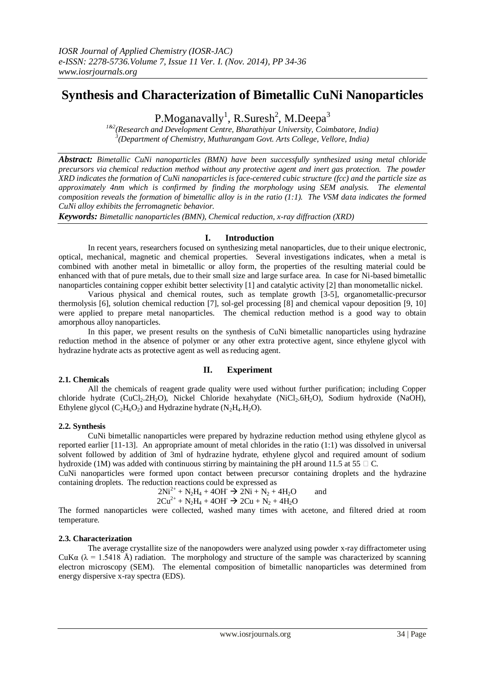# **Synthesis and Characterization of Bimetallic CuNi Nanoparticles**

P.Moganavally<sup>1</sup>, R.Suresh<sup>2</sup>, M.Deepa<sup>3</sup>

*1&2(Research and Development Centre, Bharathiyar University, Coimbatore, India) 3 (Department of Chemistry, Muthurangam Govt. Arts College, Vellore, India)*

*Abstract: Bimetallic CuNi nanoparticles (BMN) have been successfully synthesized using metal chloride precursors via chemical reduction method without any protective agent and inert gas protection. The powder XRD indicates the formation of CuNi nanoparticles is face-centered cubic structure (fcc) and the particle size as approximately 4nm which is confirmed by finding the morphology using SEM analysis. The elemental composition reveals the formation of bimetallic alloy is in the ratio (1:1). The VSM data indicates the formed CuNi alloy exhibits the ferromagnetic behavior.*

*Keywords: Bimetallic nanoparticles (BMN), Chemical reduction, x-ray diffraction (XRD)* 

#### **I. Introduction**

In recent years, researchers focused on synthesizing metal nanoparticles, due to their unique electronic, optical, mechanical, magnetic and chemical properties. Several investigations indicates, when a metal is combined with another metal in bimetallic or alloy form, the properties of the resulting material could be enhanced with that of pure metals, due to their small size and large surface area. In case for Ni-based bimetallic nanoparticles containing copper exhibit better selectivity [1] and catalytic activity [2] than monometallic nickel.

Various physical and chemical routes, such as template growth [3-5], organometallic-precursor thermolysis [6], solution chemical reduction [7], sol-gel processing [8] and chemical vapour deposition [9, 10] were applied to prepare metal nanoparticles. The chemical reduction method is a good way to obtain amorphous alloy nanoparticles.

In this paper, we present results on the synthesis of CuNi bimetallic nanoparticles using hydrazine reduction method in the absence of polymer or any other extra protective agent, since ethylene glycol with hydrazine hydrate acts as protective agent as well as reducing agent.

## **II. Experiment**

#### **2.1. Chemicals**

All the chemicals of reagent grade quality were used without further purification; including Copper chloride hydrate (CuCl<sub>2</sub>.2H<sub>2</sub>O), Nickel Chloride hexahydate (NiCl<sub>2</sub>.6H<sub>2</sub>O), Sodium hydroxide (NaOH), Ethylene glycol ( $C_2H_6O_2$ ) and Hydrazine hydrate (N<sub>2</sub>H<sub>4</sub>.H<sub>2</sub>O).

#### **2.2. Synthesis**

CuNi bimetallic nanoparticles were prepared by hydrazine reduction method using ethylene glycol as reported earlier [11-13]. An appropriate amount of metal chlorides in the ratio (1:1) was dissolved in universal solvent followed by addition of 3ml of hydrazine hydrate, ethylene glycol and required amount of sodium hydroxide (1M) was added with continuous stirring by maintaining the pH around 11.5 at 55  $\Box$  C.

CuNi nanoparticles were formed upon contact between precursor containing droplets and the hydrazine containing droplets. The reduction reactions could be expressed as

 $2Ni^{2+} + N_2H_4 + 4OH \rightarrow 2Ni + N_2 + 4H_2O$  and  $2Cu^{2+} + N_2H_4 + 4OH \rightarrow 2Cu + N_2 + 4H_2O$ 

The formed nanoparticles were collected, washed many times with acetone, and filtered dried at room temperature.

### **2.3. Characterization**

The average crystallite size of the nanopowders were analyzed using powder x-ray diffractometer using CuK $\alpha$  ( $\lambda$  = 1.5418 Å) radiation. The morphology and structure of the sample was characterized by scanning electron microscopy (SEM). The elemental composition of bimetallic nanoparticles was determined from energy dispersive x-ray spectra (EDS).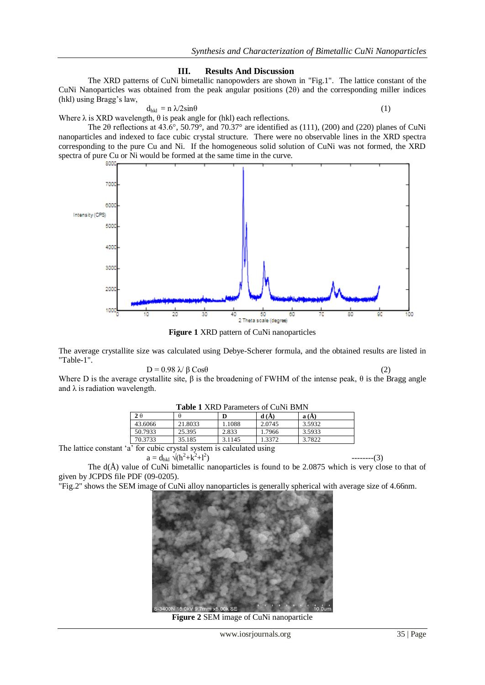#### **III. Results And Discussion**

The XRD patterns of CuNi bimetallic nanopowders are shown in "Fig.1". The lattice constant of the CuNi Nanoparticles was obtained from the peak angular positions (2θ) and the corresponding miller indices (hkl) using Bragg's law,

$$
d_{hkl} = n \sqrt{2} \sin \theta \tag{1}
$$

Where  $\lambda$  is XRD wavelength,  $\theta$  is peak angle for (hkl) each reflections.

The 2θ reflections at 43.6°, 50.79°, and 70.37° are identified as (111), (200) and (220) planes of CuNi nanoparticles and indexed to face cubic crystal structure. There were no observable lines in the XRD spectra corresponding to the pure Cu and Ni. If the homogeneous solid solution of CuNi was not formed, the XRD spectra of pure Cu or Ni would be formed at the same time in the curve.



**Figure 1** XRD pattern of CuNi nanoparticles

The average crystallite size was calculated using Debye-Scherer formula, and the obtained results are listed in "Table-1".

$$
D = 0.98 \sqrt{\beta} \cos \theta \tag{2}
$$

Where D is the average crystallite site,  $\beta$  is the broadening of FWHM of the intense peak,  $\theta$  is the Bragg angle and  $\lambda$  is radiation wavelength.

|                                                       | <b>Table 1 AND Falameters of Curvi Bivity</b> |         |        |        |        |  |
|-------------------------------------------------------|-----------------------------------------------|---------|--------|--------|--------|--|
|                                                       | $2\theta$                                     |         |        | d(A)   | a(A)   |  |
|                                                       | 43.6066                                       | 21.8033 | 1.1088 | 2.0745 | 3.5932 |  |
|                                                       | 50.7933                                       | 25.395  | 2.833  | 1.7966 | 3.5933 |  |
|                                                       | 70.3733                                       | 35.185  | 3.1145 | 1.3372 | 3.7822 |  |
| is the culture of the content of a solar lated states |                                               |         |        |        |        |  |

**Table 1** XRD Parameters of CuNi BMN

The lattice constant 'a' for cubic crystal system is calculated using

$$
a = d_{hkl} \sqrt{(h^2 + k^2 + l^2)}
$$

The  $d(\hat{A})$  value of CuNi bimetallic nanoparticles is found to be 2.0875 which is very close to that of given by JCPDS file PDF (09-0205).

"Fig.2" shows the SEM image of CuNi alloy nanoparticles is generally spherical with average size of 4.66nm.



**Figure 2** SEM image of CuNi nanoparticle

) --------(3)